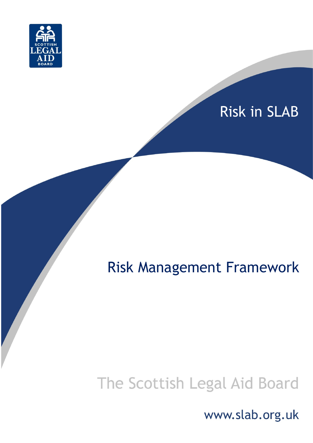

# Risk in SLAB

# Risk Management Framework

# The Scottish Legal Aid Board

www.slab.org.uk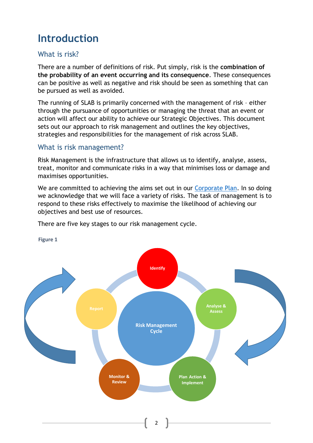# **Introduction**

# What is risk?

There are a number of definitions of risk. Put simply, risk is the **combination of the probability of an event occurring and its consequence**. These consequences can be positive as well as negative and risk should be seen as something that can be pursued as well as avoided.

The running of SLAB is primarily concerned with the management of risk – either through the pursuance of opportunities or managing the threat that an event or action will affect our ability to achieve our Strategic Objectives. This document sets out our approach to risk management and outlines the key objectives, strategies and responsibilities for the management of risk across SLAB.

#### What is risk management?

Risk Management is the infrastructure that allows us to identify, analyse, assess, treat, monitor and communicate risks in a way that minimises loss or damage and maximises opportunities.

We are committed to achieving the aims set out in our [Corporate Plan.](https://www.slab.org.uk/about-us/what-we-do/annual-report/) In so doing we acknowledge that we will face a variety of risks. The task of management is to respond to these risks effectively to maximise the likelihood of achieving our objectives and best use of resources.

There are five key stages to our risk management cycle.



**Figure 1**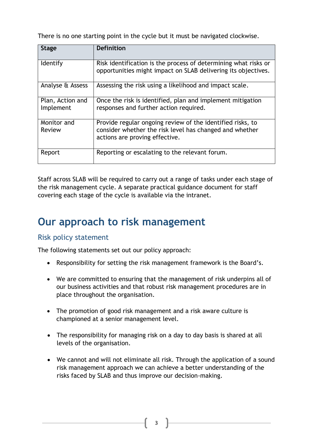There is no one starting point in the cycle but it must be navigated clockwise.

| <b>Stage</b>                  | <b>Definition</b>                                                                                                                                       |
|-------------------------------|---------------------------------------------------------------------------------------------------------------------------------------------------------|
| Identify                      | Risk identification is the process of determining what risks or<br>opportunities might impact on SLAB delivering its objectives.                        |
| Analyse & Assess              | Assessing the risk using a likelihood and impact scale.                                                                                                 |
| Plan, Action and<br>Implement | Once the risk is identified, plan and implement mitigation<br>responses and further action required.                                                    |
| Monitor and<br>Review         | Provide regular ongoing review of the identified risks, to<br>consider whether the risk level has changed and whether<br>actions are proving effective. |
| Report                        | Reporting or escalating to the relevant forum.                                                                                                          |

Staff across SLAB will be required to carry out a range of tasks under each stage of the risk management cycle. A separate practical guidance document for staff covering each stage of the cycle is available via the intranet.

# **Our approach to risk management**

### Risk policy statement

The following statements set out our policy approach:

- Responsibility for setting the risk management framework is the Board's.
- We are committed to ensuring that the management of risk underpins all of our business activities and that robust risk management procedures are in place throughout the organisation.
- The promotion of good risk management and a risk aware culture is championed at a senior management level.
- The responsibility for managing risk on a day to day basis is shared at all levels of the organisation.
- We cannot and will not eliminate all risk. Through the application of a sound risk management approach we can achieve a better understanding of the risks faced by SLAB and thus improve our decision-making.

 $3 \quad \}$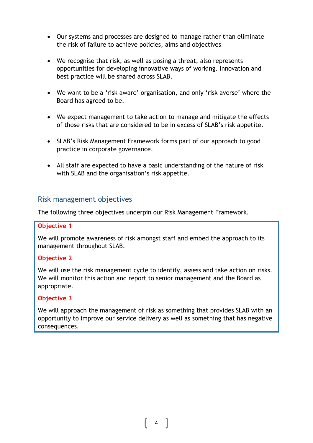- Our systems and processes are designed to manage rather than eliminate the risk of failure to achieve policies, aims and objectives
- We recognise that risk, as well as posing a threat, also represents opportunities for developing innovative ways of working. Innovation and best practice will be shared across SLAB.
- We want to be a 'risk aware' organisation, and only 'risk averse' where the Board has agreed to be.
- We expect management to take action to manage and mitigate the effects of those risks that are considered to be in excess of SLAB's risk appetite.
- SLAB's Risk Management Framework forms part of our approach to good practice in corporate governance.
- All staff are expected to have a basic understanding of the nature of risk with SLAB and the organisation's risk appetite.

#### Risk management objectives

The following three objectives underpin our Risk Management Framework.

#### **Objective 1**

We will promote awareness of risk amongst staff and embed the approach to its management throughout SLAB.

#### **Objective 2**

We will use the risk management cycle to identify, assess and take action on risks. We will monitor this action and report to senior management and the Board as appropriate.

#### **Objective 3**

We will approach the management of risk as something that provides SLAB with an opportunity to improve our service delivery as well as something that has negative consequences.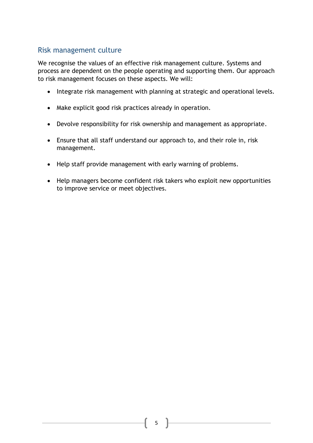# Risk management culture

We recognise the values of an effective risk management culture. Systems and process are dependent on the people operating and supporting them. Our approach to risk management focuses on these aspects. We will:

- Integrate risk management with planning at strategic and operational levels.
- Make explicit good risk practices already in operation.
- Devolve responsibility for risk ownership and management as appropriate.
- Ensure that all staff understand our approach to, and their role in, risk management.
- Help staff provide management with early warning of problems.
- Help managers become confident risk takers who exploit new opportunities to improve service or meet objectives.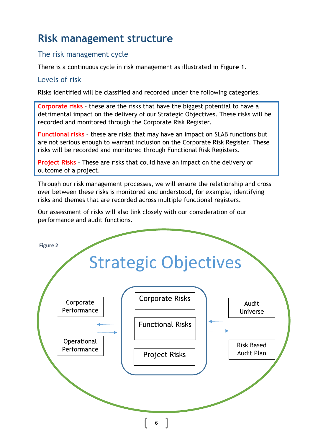# **Risk management structure**

# The risk management cycle

There is a continuous cycle in risk management as illustrated in **Figure 1**.

### Levels of risk

Risks identified will be classified and recorded under the following categories.

**Corporate risks** – these are the risks that have the biggest potential to have a detrimental impact on the delivery of our Strategic Objectives. These risks will be recorded and monitored through the Corporate Risk Register.

**Functional risks** – these are risks that may have an impact on SLAB functions but are not serious enough to warrant inclusion on the Corporate Risk Register. These risks will be recorded and monitored through Functional Risk Registers.

**Project Risks** – These are risks that could have an impact on the delivery or outcome of a project.

Through our risk management processes, we will ensure the relationship and cross over between these risks is monitored and understood, for example, identifying risks and themes that are recorded across multiple functional registers.

Our assessment of risks will also link closely with our consideration of our performance and audit functions.

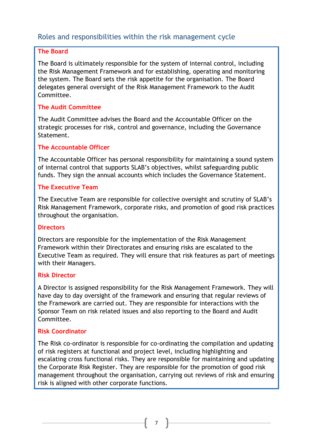# Roles and responsibilities within the risk management cycle

#### **The Board**

The Board is ultimately responsible for the system of internal control, including the Risk Management Framework and for establishing, operating and monitoring the system. The Board sets the risk appetite for the organisation. The Board delegates general oversight of the Risk Management Framework to the Audit Committee.

#### **The Audit Committee**

The Audit Committee advises the Board and the Accountable Officer on the strategic processes for risk, control and governance, including the Governance Statement.

#### **The Accountable Officer**

The Accountable Officer has personal responsibility for maintaining a sound system of internal control that supports SLAB's objectives, whilst safeguarding public funds. They sign the annual accounts which includes the Governance Statement.

#### **The Executive Team**

The Executive Team are responsible for collective oversight and scrutiny of SLAB's Risk Management Framework, corporate risks, and promotion of good risk practices throughout the organisation.

#### **Directors**

Directors are responsible for the implementation of the Risk Management Framework within their Directorates and ensuring risks are escalated to the Executive Team as required. They will ensure that risk features as part of meetings with their Managers.

#### **Risk Director**

A Director is assigned responsibility for the Risk Management Framework. They will have day to day oversight of the framework and ensuring that regular reviews of the Framework are carried out. They are responsible for interactions with the Sponsor Team on risk related issues and also reporting to the Board and Audit Committee.

#### **Risk Coordinator**

The Risk co-ordinator is responsible for co-ordinating the compilation and updating of risk registers at functional and project level, including highlighting and escalating cross functional risks. They are responsible for maintaining and updating the Corporate Risk Register. They are responsible for the promotion of good risk management throughout the organisation, carrying out reviews of risk and ensuring risk is aligned with other corporate functions.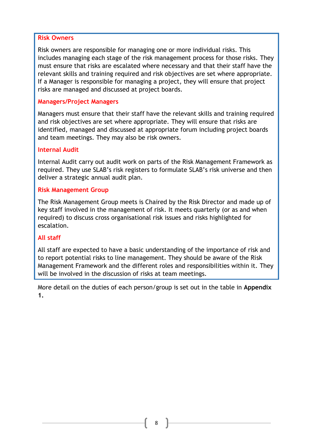#### **Risk Owners**

Risk owners are responsible for managing one or more individual risks. This includes managing each stage of the risk management process for those risks. They must ensure that risks are escalated where necessary and that their staff have the relevant skills and training required and risk objectives are set where appropriate. If a Manager is responsible for managing a project, they will ensure that project risks are managed and discussed at project boards.

#### **Managers/Project Managers**

Managers must ensure that their staff have the relevant skills and training required and risk objectives are set where appropriate. They will ensure that risks are identified, managed and discussed at appropriate forum including project boards and team meetings. They may also be risk owners.

#### **Internal Audit**

Internal Audit carry out audit work on parts of the Risk Management Framework as required. They use SLAB's risk registers to formulate SLAB's risk universe and then deliver a strategic annual audit plan.

#### **Risk Management Group**

The Risk Management Group meets is Chaired by the Risk Director and made up of key staff involved in the management of risk. It meets quarterly (or as and when required) to discuss cross organisational risk issues and risks highlighted for escalation.

#### **All staff**

All staff are expected to have a basic understanding of the importance of risk and to report potential risks to line management. They should be aware of the Risk Management Framework and the different roles and responsibilities within it. They will be involved in the discussion of risks at team meetings.

More detail on the duties of each person/group is set out in the table in **Appendix 1.**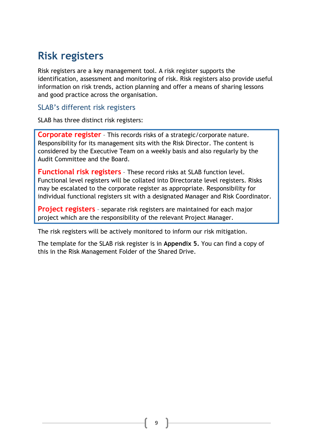# **Risk registers**

Risk registers are a key management tool. A risk register supports the identification, assessment and monitoring of risk. Risk registers also provide useful information on risk trends, action planning and offer a means of sharing lessons and good practice across the organisation.

#### SLAB's different risk registers

SLAB has three distinct risk registers:

**Corporate register** – This records risks of a strategic/corporate nature. Responsibility for its management sits with the Risk Director. The content is considered by the Executive Team on a weekly basis and also regularly by the Audit Committee and the Board.

**Functional risk registers** – These record risks at SLAB function level. Functional level registers will be collated into Directorate level registers. Risks may be escalated to the corporate register as appropriate. Responsibility for individual functional registers sit with a designated Manager and Risk Coordinator.

**Project registers** – separate risk registers are maintained for each major project which are the responsibility of the relevant Project Manager.

The risk registers will be actively monitored to inform our risk mitigation.

The template for the SLAB risk register is in **Appendix 5.** You can find a copy of this in the Risk Management Folder of the Shared Drive.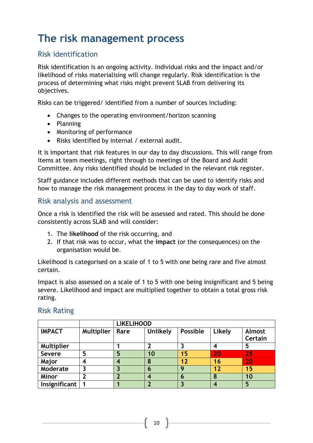# **The risk management process**

# Risk identification

Risk identification is an ongoing activity. Individual risks and the impact and/or likelihood of risks materialising will change regularly. Risk identification is the process of determining what risks might prevent SLAB from delivering its objectives.

Risks can be triggered/ identified from a number of sources including:

- Changes to the operating environment/horizon scanning
- Planning
- Monitoring of performance
- Risks identified by internal / external audit.

It is important that risk features in our day to day discussions. This will range from items at team meetings, right through to meetings of the Board and Audit Committee. Any risks identified should be included in the relevant risk register.

Staff guidance includes different methods that can be used to identify risks and how to manage the risk management process in the day to day work of staff.

### Risk analysis and assessment

Once a risk is identified the risk will be assessed and rated. This should be done consistently across SLAB and will consider:

- 1. The **likelihood** of the risk occurring, and
- 2. If that risk was to occur, what the **impact** (or the consequences) on the organisation would be.

Likelihood is categorised on a scale of 1 to 5 with one being rare and five almost certain.

Impact is also assessed on a scale of 1 to 5 with one being insignificant and 5 being severe. Likelihood and impact are multiplied together to obtain a total gross risk rating.

|                   |                   | <b>LIKELIHOOD</b> |                 |          |                  |                   |  |  |  |  |  |  |
|-------------------|-------------------|-------------------|-----------------|----------|------------------|-------------------|--|--|--|--|--|--|
| <b>IMPACT</b>     | <b>Multiplier</b> | Rare              | <b>Unlikely</b> | Possible | Likely           | Almost<br>Certain |  |  |  |  |  |  |
| <b>Multiplier</b> |                   |                   |                 |          | $\boldsymbol{4}$ | 5                 |  |  |  |  |  |  |
|                   |                   |                   |                 |          |                  |                   |  |  |  |  |  |  |
| <b>Severe</b>     | 5                 | 5                 | 10              | 15       | 20               | 25                |  |  |  |  |  |  |
| Major             | 4                 |                   | 8               | 12       | 16               | 20                |  |  |  |  |  |  |
| Moderate          | າ                 |                   | o               | Q        | 12               | 15                |  |  |  |  |  |  |
| <b>Minor</b>      |                   |                   |                 | о        | 8                | 10                |  |  |  |  |  |  |
| Insignificant     |                   |                   |                 |          | 4                | 5                 |  |  |  |  |  |  |

### Risk Rating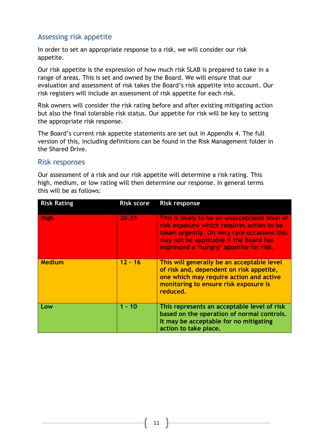# Assessing risk appetite

In order to set an appropriate response to a risk, we will consider our risk appetite.

Our risk appetite is the expression of how much risk SLAB is prepared to take in a range of areas. This is set and owned by the Board. We will ensure that our evaluation and assessment of risk takes the Board's risk appetite into account. Our risk registers will include an assessment of risk appetite for each risk.

Risk owners will consider the risk rating before and after existing mitigating action but also the final tolerable risk status. Our appetite for risk will be key to setting the appropriate risk response.

The Board's current risk appetite statements are set out in Appendix 4. The full version of this, including definitions can be found in the Risk Management folder in the Shared Drive.

#### Risk responses

Our assessment of a risk and our risk appetite will determine a risk rating. This high, medium, or low rating will then determine our response. In general terms this will be as follows:

| <b>Risk Rating</b> | <b>Risk score</b> | <b>Risk response</b>                                                                                                                                                                                                           |
|--------------------|-------------------|--------------------------------------------------------------------------------------------------------------------------------------------------------------------------------------------------------------------------------|
| <b>High</b>        | $20 - 25$         | This is likely to be an unacceptable level of<br>risk exposure which requires action to be<br>taken urgently. On very rare occasions this<br>may not be applicable if the Board has<br>expressed a 'hungry' appetite for risk. |
| <b>Medium</b>      | $12 - 16$         | This will generally be an acceptable level<br>of risk and, dependent on risk appetite,<br>one which may require action and active<br>monitoring to ensure risk exposure is<br>reduced.                                         |
| Low                | $1 - 10$          | This represents an acceptable level of risk<br>based on the operation of normal controls.<br>It may be acceptable for no mitigating<br>action to take place.                                                                   |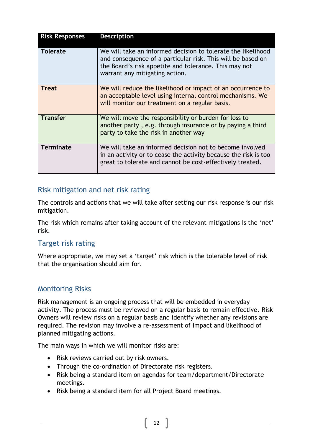| <b>Risk Responses</b> | <b>Description</b>                                                                                                                                                                                                     |
|-----------------------|------------------------------------------------------------------------------------------------------------------------------------------------------------------------------------------------------------------------|
| <b>Tolerate</b>       | We will take an informed decision to tolerate the likelihood<br>and consequence of a particular risk. This will be based on<br>the Board's risk appetite and tolerance. This may not<br>warrant any mitigating action. |
| <b>Treat</b>          | We will reduce the likelihood or impact of an occurrence to<br>an acceptable level using internal control mechanisms. We<br>will monitor our treatment on a regular basis.                                             |
| <b>Transfer</b>       | We will move the responsibility or burden for loss to<br>another party, e.g. through insurance or by paying a third<br>party to take the risk in another way                                                           |
| <b>Terminate</b>      | We will take an informed decision not to become involved<br>in an activity or to cease the activity because the risk is too<br>great to tolerate and cannot be cost-effectively treated.                               |

### Risk mitigation and net risk rating

The controls and actions that we will take after setting our risk response is our risk mitigation.

The risk which remains after taking account of the relevant mitigations is the 'net' risk.

#### Target risk rating

Where appropriate, we may set a 'target' risk which is the tolerable level of risk that the organisation should aim for.

#### Monitoring Risks

Risk management is an ongoing process that will be embedded in everyday activity. The process must be reviewed on a regular basis to remain effective. Risk Owners will review risks on a regular basis and identify whether any revisions are required. The revision may involve a re-assessment of impact and likelihood of planned mitigating actions.

The main ways in which we will monitor risks are:

- Risk reviews carried out by risk owners.
- Through the co-ordination of Directorate risk registers.
- Risk being a standard item on agendas for team/department/Directorate meetings.
- Risk being a standard item for all Project Board meetings.

 $\left\{ \begin{array}{c} 12 \end{array} \right\}$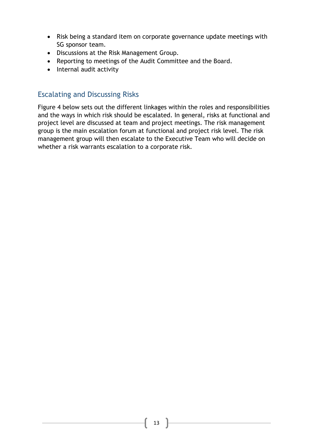- Risk being a standard item on corporate governance update meetings with SG sponsor team.
- Discussions at the Risk Management Group.
- Reporting to meetings of the Audit Committee and the Board.
- Internal audit activity

# Escalating and Discussing Risks

Figure 4 below sets out the different linkages within the roles and responsibilities and the ways in which risk should be escalated. In general, risks at functional and project level are discussed at team and project meetings. The risk management group is the main escalation forum at functional and project risk level. The risk management group will then escalate to the Executive Team who will decide on whether a risk warrants escalation to a corporate risk.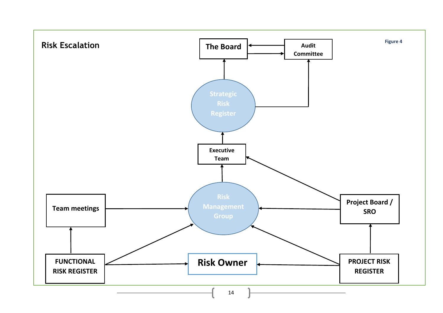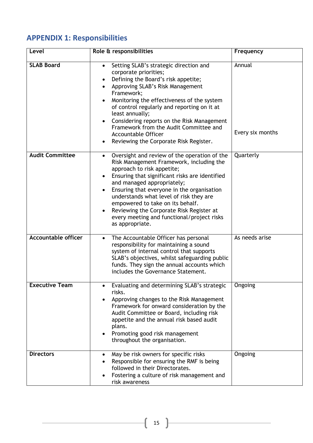# **APPENDIX 1: Responsibilities**

| Level                      | Role & responsibilities                                                                                                                                                                                                                                                                                                                                                                                                                                            | Frequency                  |
|----------------------------|--------------------------------------------------------------------------------------------------------------------------------------------------------------------------------------------------------------------------------------------------------------------------------------------------------------------------------------------------------------------------------------------------------------------------------------------------------------------|----------------------------|
| <b>SLAB Board</b>          | Setting SLAB's strategic direction and<br>$\bullet$<br>corporate priorities;<br>Defining the Board's risk appetite;<br>$\bullet$<br>Approving SLAB's Risk Management<br>Framework;<br>Monitoring the effectiveness of the system<br>of control regularly and reporting on it at<br>least annually;<br>Considering reports on the Risk Management<br>Framework from the Audit Committee and<br><b>Accountable Officer</b><br>Reviewing the Corporate Risk Register. | Annual<br>Every six months |
| <b>Audit Committee</b>     | Oversight and review of the operation of the<br>$\bullet$<br>Risk Management Framework, including the<br>approach to risk appetite;<br>Ensuring that significant risks are identified<br>and managed appropriately;<br>Ensuring that everyone in the organisation<br>understands what level of risk they are<br>empowered to take on its behalf.<br>Reviewing the Corporate Risk Register at<br>every meeting and functional/project risks<br>as appropriate.      | Quarterly                  |
| <b>Accountable officer</b> | The Accountable Officer has personal<br>$\bullet$<br>responsibility for maintaining a sound<br>system of internal control that supports<br>SLAB's objectives, whilst safeguarding public<br>funds. They sign the annual accounts which<br>includes the Governance Statement.                                                                                                                                                                                       | As needs arise             |
| <b>Executive Team</b>      | Evaluating and determining SLAB's strategic<br>risks.<br>Approving changes to the Risk Management<br>Framework for onward consideration by the<br>Audit Committee or Board, including risk<br>appetite and the annual risk based audit<br>plans.<br>Promoting good risk management<br>throughout the organisation.                                                                                                                                                 | Ongoing                    |
| <b>Directors</b>           | May be risk owners for specific risks<br>$\bullet$<br>Responsible for ensuring the RMF is being<br>followed in their Directorates.<br>Fostering a culture of risk management and<br>risk awareness                                                                                                                                                                                                                                                                 | Ongoing                    |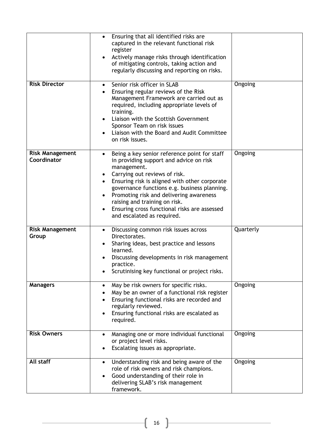|                                       | Ensuring that all identified risks are<br>$\bullet$<br>captured in the relevant functional risk<br>register<br>Actively manage risks through identification<br>of mitigating controls, taking action and<br>regularly discussing and reporting on risks.                                                                                                                                                        |           |
|---------------------------------------|-----------------------------------------------------------------------------------------------------------------------------------------------------------------------------------------------------------------------------------------------------------------------------------------------------------------------------------------------------------------------------------------------------------------|-----------|
| <b>Risk Director</b>                  | Senior risk officer in SLAB<br>$\bullet$<br>Ensuring regular reviews of the Risk<br>Management Framework are carried out as<br>required, including appropriate levels of<br>training.<br>Liaison with the Scottish Government<br>Sponsor Team on risk issues<br>Liaison with the Board and Audit Committee<br>on risk issues.                                                                                   | Ongoing   |
| <b>Risk Management</b><br>Coordinator | Being a key senior reference point for staff<br>in providing support and advice on risk<br>management.<br>Carrying out reviews of risk.<br>Ensuring risk is aligned with other corporate<br>$\bullet$<br>governance functions e.g. business planning.<br>Promoting risk and delivering awareness<br>raising and training on risk.<br>Ensuring cross functional risks are assessed<br>and escalated as required. | Ongoing   |
| <b>Risk Management</b><br>Group       | Discussing common risk issues across<br>Directorates.<br>Sharing ideas, best practice and lessons<br>learned.<br>Discussing developments in risk management<br>practice.<br>Scrutinising key functional or project risks.                                                                                                                                                                                       | Quarterly |
| <b>Managers</b>                       | May be risk owners for specific risks.<br>٠<br>May be an owner of a functional risk register<br>Ensuring functional risks are recorded and<br>regularly reviewed.<br>Ensuring functional risks are escalated as<br>$\bullet$<br>required.                                                                                                                                                                       | Ongoing   |
| <b>Risk Owners</b>                    | Managing one or more individual functional<br>or project level risks.<br>Escalating issues as appropriate.                                                                                                                                                                                                                                                                                                      | Ongoing   |
| All staff                             | Understanding risk and being aware of the<br>$\bullet$<br>role of risk owners and risk champions.<br>Good understanding of their role in<br>delivering SLAB's risk management<br>framework.                                                                                                                                                                                                                     | Ongoing   |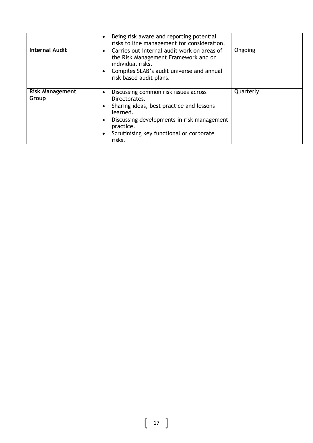|                                 | Being risk aware and reporting potential<br>risks to line management for consideration.                                                                                                                                                     |           |
|---------------------------------|---------------------------------------------------------------------------------------------------------------------------------------------------------------------------------------------------------------------------------------------|-----------|
| <b>Internal Audit</b>           | Carries out internal audit work on areas of<br>$\bullet$<br>the Risk Management Framework and on<br>individual risks.<br>• Compiles SLAB's audit universe and annual<br>risk based audit plans.                                             | Ongoing   |
| <b>Risk Management</b><br>Group | Discussing common risk issues across<br>$\bullet$<br>Directorates.<br>Sharing ideas, best practice and lessons<br>learned.<br>Discussing developments in risk management<br>practice.<br>Scrutinising key functional or corporate<br>risks. | Quarterly |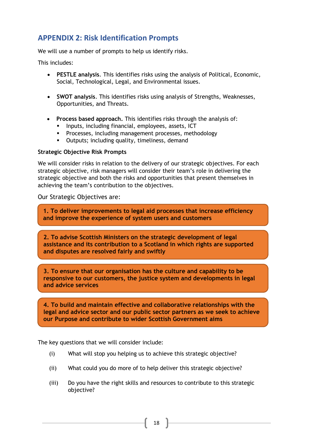# **APPENDIX 2: Risk Identification Prompts**

We will use a number of prompts to help us identify risks.

This includes:

- **PESTLE analysis**. This identifies risks using the analysis of Political, Economic, Social, Technological, Legal, and Environmental issues.
- **SWOT analysis**. This identifies risks using analysis of Strengths, Weaknesses, Opportunities, and Threats.
- **Process based approach.** This identifies risks through the analysis of:
	- **Inputs, including financial, employees, assets, ICT**
	- **Processes, including management processes, methodology**
	- **•** Outputs; including quality, timeliness, demand

#### **Strategic Objective Risk Prompts**

We will consider risks in relation to the delivery of our strategic objectives. For each strategic objective, risk managers will consider their team's role in delivering the strategic objective and both the risks and opportunities that present themselves in achieving the team's contribution to the objectives.

#### Our Strategic Objectives are:

**1. To deliver improvements to legal aid processes that increase efficiency and improve the experience of system users and customers**

**2. To advise Scottish Ministers on the strategic development of legal assistance and its contribution to a Scotland in which rights are supported and disputes are resolved fairly and swiftly** 

**3. To ensure that our organisation has the culture and capability to be responsive to our customers, the justice system and developments in legal and advice services** 

**4. To build and maintain effective and collaborative relationships with the legal and advice sector and our public sector partners as we seek to achieve our Purpose and contribute to wider Scottish Government aims** 

The key questions that we will consider include:

- (i) What will stop you helping us to achieve this strategic objective?
- (ii) What could you do more of to help deliver this strategic objective?
- (iii) Do you have the right skills and resources to contribute to this strategic objective?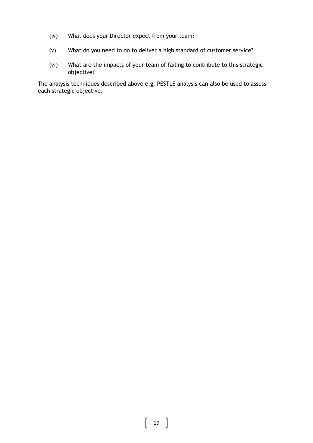- (iv) What does your Director expect from your team?
- (v) What do you need to do to deliver a high standard of customer service?
- (vi) What are the impacts of your team of failing to contribute to this strategic objective?

The analysis techniques described above e.g. PESTLE analysis can also be used to assess each strategic objective.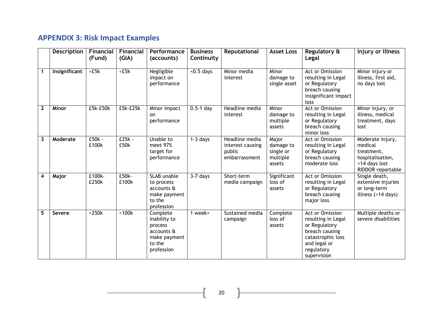# **APPENDIX 3: Risk Impact Examples**

|                         | Description   | Financial<br>(Fund) | <b>Financial</b><br>(GIA) | Performance<br>(accounts)                                                                 | <b>Business</b><br>Continuity | Reputational                                                  | <b>Asset Loss</b>                                     | Regulatory &<br>Legal                                                                                                                             | Injury or Illness                                                                                   |
|-------------------------|---------------|---------------------|---------------------------|-------------------------------------------------------------------------------------------|-------------------------------|---------------------------------------------------------------|-------------------------------------------------------|---------------------------------------------------------------------------------------------------------------------------------------------------|-----------------------------------------------------------------------------------------------------|
| $\mathbf 1$             | Insignificant | $5k$                | $\overline{\text{c}5k}$   | Negligible<br>impact on<br>performance                                                    | $\overline{5}$ days           | Minor media<br>interest                                       | Minor<br>damage to<br>single asset                    | <b>Act or Omission</b><br>resulting in Legal<br>or Regulatory<br>breach causing<br>insignificant impact<br>loss                                   | Minor injury or<br>illness, first aid,<br>no days lost                                              |
| $\mathbf{2}$            | Minor         | £5k-£50k            | $E5k-E25k$                | Minor impact<br>on<br>performance                                                         | $0.5-1$ day                   | Headline media<br>interest                                    | Minor<br>damage to<br>multiple<br>assets              | <b>Act or Omission</b><br>resulting in Legal<br>or Regulatory<br>breach causing<br>minor loss                                                     | Minor injury, or<br>illness, medical<br>treatment, days<br>lost                                     |
| $\mathbf{3}$            | Moderate      | $E50k -$<br>£100k   | $E25k -$<br>£50k          | Unable to<br>meet 97%<br>target for<br>performance                                        | $1-3$ days                    | Headline media<br>interest causing<br>public<br>embarrassment | Major<br>damage to<br>single or<br>multiple<br>assets | Act or Omission<br>resulting in Legal<br>or Regulatory<br>breach causing<br>moderate loss                                                         | Moderate injury,<br>medical<br>treatment,<br>hospitalisation,<br><14 days lost<br>RIDDOR reportable |
| $\overline{\mathbf{4}}$ | Major         | £100k-<br>£250k     | $E50k -$<br>£100k         | <b>SLAB</b> unable<br>to process<br>accounts &<br>make payment<br>to the<br>profession    | $3-7$ days                    | Short-term<br>media campaign                                  | Significant<br>loss of<br>assets                      | Act or Omission<br>resulting in Legal<br>or Regulatory<br>breach causing<br>major loss                                                            | Single death,<br>extensive injuries<br>or long-term<br>illness (>14 days)                           |
| 5                       | <b>Severe</b> | >250k               | >100k                     | Complete<br>inability to<br>process<br>accounts &<br>make payment<br>to the<br>profession | 1 week+                       | Sustained media<br>campaign                                   | Complete<br>loss of<br>assets                         | <b>Act or Omission</b><br>resulting in Legal<br>or Regulatory<br>breach causing<br>catastrophic loss<br>and legal or<br>regulatory<br>supervision | Multiple deaths or<br>severe disabilities                                                           |

20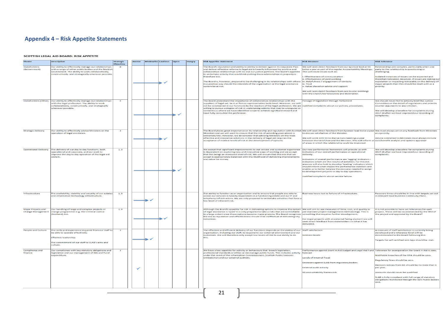#### **Appendix 4 – Risk Appetite Statements**

#### SCOTTISH LEGAL AID BOARD: RISK APPETITE

|                                                | <b>Description</b>                                                                                                                                                                                                     | <b>Strategic</b><br><b>Objective</b> | <b>Averse</b> | <b>Minimalist Cautious</b> | Open | <b>Hungry</b> | <b>Risk Appetite Statement</b>                                                                                                                                                                                                                                                                                                                                                                                                                                                                                                | <b>Risk Measure</b>                                                                                                                                                                                                                                                                                                     | <b>Risk Tolerance</b>                                                                                                                                                                                                                                                 |
|------------------------------------------------|------------------------------------------------------------------------------------------------------------------------------------------------------------------------------------------------------------------------|--------------------------------------|---------------|----------------------------|------|---------------|-------------------------------------------------------------------------------------------------------------------------------------------------------------------------------------------------------------------------------------------------------------------------------------------------------------------------------------------------------------------------------------------------------------------------------------------------------------------------------------------------------------------------------|-------------------------------------------------------------------------------------------------------------------------------------------------------------------------------------------------------------------------------------------------------------------------------------------------------------------------|-----------------------------------------------------------------------------------------------------------------------------------------------------------------------------------------------------------------------------------------------------------------------|
| <b>Stakeholders</b><br>(Government)            | Our ability to effectively manage our relationships<br>with a range of other public bodies and the Scottish<br>Sovernment. The ability to work collaboratively,<br>constructively, and strategically wherever possible |                                      |               |                            |      |               | The Board's reputation and ability to ability to deliver against its Corporate Plan<br>and deliver effective reforms to legal aid is heavily influenced by positive and<br>collaborative relationships with SG and our justice partners. The Board's appetite<br>to undertake activity that would risk putting these relationships in jeopardy is<br>therefore low.                                                                                                                                                           | We will seek direct feedback from our Sponsor lead at SG<br>twice a year as part of the regular Accountability Meetings.<br>This will cover issues such as:<br><b>Effectiveness of communication</b>                                                                                                                    | Relationships are complex, particularly when one<br>party to the relationship is questioning or<br>hallenging.<br>Isolated instances of issues can be expected and                                                                                                    |
|                                                |                                                                                                                                                                                                                        |                                      |               |                            |      |               | The Board is, however, prepared to be challenging in its relationships with others<br>in a positive way should the interests of the organisation or the legal assistance<br>system be at risk.                                                                                                                                                                                                                                                                                                                                | ii. Effectiveness of joint working<br>iii. Helpfulness / engagement of contacts<br>iv. Trust<br>. Value placed on advice and support                                                                                                                                                                                    | therefore tolerated. However, if issues are risking ou<br>reputation or impacting noticeably on the delivery of<br>najor projects then this should be dealt with as a<br>priority.                                                                                    |
|                                                |                                                                                                                                                                                                                        |                                      |               |                            |      |               |                                                                                                                                                                                                                                                                                                                                                                                                                                                                                                                               | We will seek direct feedback from one to one meetings<br>with the Chair/Chief Executive and SG Director.                                                                                                                                                                                                                |                                                                                                                                                                                                                                                                       |
| <b>Stakeholders (Other)</b>                    | Our ability to effectively manage our relationships<br>with the legal profession. The ability to work<br>collaboratively, constructively, and strategically<br>vherever possible                                       | $\overline{\mathbf{A}}$              |               |                            |      |               | The Board understand the importance of collaborative relationships with the<br>suppliers of legal aid, be it at firm or representative body level. However, we will<br>not be constrained in our functions by the reaction of the legal profession. We are Justified complaints about our polices, procedures.<br>willing to pursue a degree of risk in undertaking activity that may be unpopular or<br>contentious where we have identified scope to achieve significant reward and<br>have fully consulted the profession. | Passage of legislation through Parliament                                                                                                                                                                                                                                                                               | We should never fail to actively brief the Justice<br>Committee on the detail of regulations and provide<br>counter arguments to any criticism.<br>We will develop a baseline for complaints during<br>2017-18 after we have improved our recording of<br>complaints. |
|                                                |                                                                                                                                                                                                                        |                                      |               |                            |      |               |                                                                                                                                                                                                                                                                                                                                                                                                                                                                                                                               |                                                                                                                                                                                                                                                                                                                         |                                                                                                                                                                                                                                                                       |
| <b>Strategic delivery</b>                      | Our ability to effectively advise Ministers on the<br>peration of legal assistance                                                                                                                                     | $\overline{2}$                       |               |                            |      |               | The Board places great importance on its relationship and reputation with Scottish We will seek direct feedback from Sponsor lead twice a year We must always act on any feedback from Ministers<br>Ministers and we will want to ensure that the risk of providing poor advice is<br>extremely low. However, we do consider that advising Ministers on the most                                                                                                                                                              | to discuss satisfaction of the Minister                                                                                                                                                                                                                                                                                 | as a priority.                                                                                                                                                                                                                                                        |
|                                                |                                                                                                                                                                                                                        |                                      |               |                            |      |               | effective and innovative solutions in the delivery of legal aid requires the<br>acceptance of modest levels of risk in the development of options.                                                                                                                                                                                                                                                                                                                                                                            | We will work with SG to diarise two meetings a year<br>between the CEO/Chair and the Minister. This will inform us cost/benefit analysis and options appraisal<br>of areas in which the relationship could be improved.                                                                                                 | Advice submitted to Ministers must always include                                                                                                                                                                                                                     |
| <b>Operational Delivery</b>                    | The delivery of our day to day functions, both<br>operational and corporate, and our work to<br>mprove the day to day operation of the legal aid<br>system.                                                            | 1,3                                  |               |                            |      |               | We accept that significant improvements to our service and customer experience<br>is dependent on exploring new and innovative ways of working and we accept<br>that this brings an increased level of risk. We will ensure that this risk that we<br>accept is appropriately balanced with the likelihood of delivering improvements<br>and value for money.                                                                                                                                                                 | Our new performance framework will provide us with<br>indicators of our overall performance on operational<br>delivery.<br>ndicators of overall performance are 'lagging' indicators -<br>indicators which are the results of activities. For this risk<br>area we will also look to develop 'leading' indicators which | We will develop a baseline for complaints during<br>2017-18 after we have improved our recording of<br>omplaints.                                                                                                                                                     |
|                                                |                                                                                                                                                                                                                        |                                      |               |                            |      |               |                                                                                                                                                                                                                                                                                                                                                                                                                                                                                                                               | should inform what shapes the performance indictors and<br>enable us to better balance the resource needed to assign<br>to development projects vs day to day operations<br>lustified complaints about service failure.                                                                                                 |                                                                                                                                                                                                                                                                       |
|                                                |                                                                                                                                                                                                                        |                                      |               |                            |      |               |                                                                                                                                                                                                                                                                                                                                                                                                                                                                                                                               |                                                                                                                                                                                                                                                                                                                         |                                                                                                                                                                                                                                                                       |
| Infrastructure                                 | The availability, viability and security of our estates<br>and Information technology Infrastructure.                                                                                                                  | 1, 3                                 |               |                            |      |               | Our ability to function as an organisation and to ensure that people are able to<br>access our services is heavily dependent on a functioning estate and our IT and<br>telephony infrastructure. We are only prepared to undertake activities that have a<br>ow level of inherent risk.                                                                                                                                                                                                                                       | <b>Business hours lost to failure of infrastructure.</b>                                                                                                                                                                                                                                                                | Recovery times should be in line with targets set out<br>In relevant local Business Continuity Plans.                                                                                                                                                                 |
| Major Projects and<br><b>Change Management</b> | Our handling of large and complex projects or<br>change programmes e.g. the Criminal Justice<br>(Scotland) Act.                                                                                                        | 1, 3                                 |               |                            |      |               | Although the Board's appetite for risk in delivering options to improve the system We will aim to use measures of time, cost, and quality as<br>of legal assistance is 'open' it is only prepared to take a risks that are controllable<br>to a large extent once those options become major projects. The Board recognises something that requires further development.<br>the risk to reputation and effectiveness should it be ineffectual at delivering key<br><b>Initiatives.</b>                                        | per standard project management methodology. This is<br>For major projects with an external facing element we will<br>seek direct feedback from stakeholders on what it has                                                                                                                                             | It is not possible to have set tolerances for each<br>roject. These will be recommended by the SRO of<br>the project and approved by the Board?                                                                                                                       |
|                                                |                                                                                                                                                                                                                        |                                      |               |                            |      |               |                                                                                                                                                                                                                                                                                                                                                                                                                                                                                                                               | delivered.                                                                                                                                                                                                                                                                                                              |                                                                                                                                                                                                                                                                       |
| <b>People and Culture</b>                      | The skills and experience required from our staff to<br>be able to operate effectively.                                                                                                                                | $\overline{\mathbf{3}}$              |               |                            |      |               | The effective and efficient delivery of our functions depends on the ability of our Staff satisfaction<br>organisation, including our staff, to respond to our external environment and our<br>customers. We will therefore only accept low levels of risk to our ability to do                                                                                                                                                                                                                                               | Sickness levels                                                                                                                                                                                                                                                                                                         | A measure of staff satisfaction is currently being<br>developed and a tolerance level will be<br>ecommended to the Board following this.                                                                                                                              |
|                                                | Effective leadership.<br>The commitment of our staff to SLAB's aims and<br>culture.                                                                                                                                    |                                      |               |                            |      |               | this.                                                                                                                                                                                                                                                                                                                                                                                                                                                                                                                         |                                                                                                                                                                                                                                                                                                                         | Targets for self certified sick days should be met                                                                                                                                                                                                                    |
| Compliance and<br>finance                      | Our compliance with key statutory obligations and<br>legislation and our management of GIA and Fund                                                                                                                    | 3                                    |               |                            |      |               | We have a low appetite for activity or behaviours that breach legislation<br>professional standards or ethics or mismanage public funds. This includes activity                                                                                                                                                                                                                                                                                                                                                               | Performance against Grant in Aid budget and Legal Aid Fund Tolerance for overspend on the Grant in Aid is zero.<br>forecast                                                                                                                                                                                             |                                                                                                                                                                                                                                                                       |
|                                                | expenditure.                                                                                                                                                                                                           |                                      |               |                            |      |               | under the remit of the Information Commissioners, Scottish Public Services<br>Ombudsman and our external auditors.                                                                                                                                                                                                                                                                                                                                                                                                            | Levels of internal fraud                                                                                                                                                                                                                                                                                                | Notifiable breaches of the DPA should be zero.                                                                                                                                                                                                                        |
|                                                |                                                                                                                                                                                                                        |                                      |               |                            |      |               |                                                                                                                                                                                                                                                                                                                                                                                                                                                                                                                               | Decisions against SLAB from regulatory bodies                                                                                                                                                                                                                                                                           | Regulatory fines should be zero.<br>Decision notices from SIC should be no more than 1                                                                                                                                                                                |
|                                                |                                                                                                                                                                                                                        |                                      | ✓             |                            |      |               |                                                                                                                                                                                                                                                                                                                                                                                                                                                                                                                               | <b>External audit activity</b>                                                                                                                                                                                                                                                                                          | per year.                                                                                                                                                                                                                                                             |
|                                                |                                                                                                                                                                                                                        |                                      |               |                            |      |               |                                                                                                                                                                                                                                                                                                                                                                                                                                                                                                                               | <b>SG accountability framework</b>                                                                                                                                                                                                                                                                                      | Accounts should never be qualified<br>SLAB is fully compliant with full range of statutory<br>obligations monitored through the SG's Public Bodies<br>Unit.                                                                                                           |
|                                                |                                                                                                                                                                                                                        |                                      |               |                            |      |               |                                                                                                                                                                                                                                                                                                                                                                                                                                                                                                                               |                                                                                                                                                                                                                                                                                                                         |                                                                                                                                                                                                                                                                       |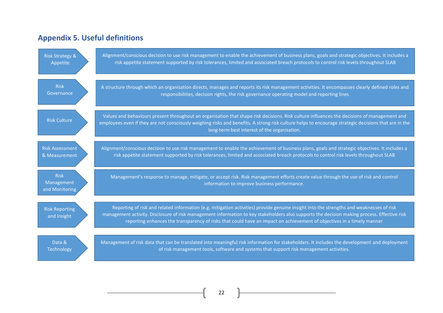# **Appendix 5. Useful definitions**

| <b>Risk Strategy &amp;</b>                  | Alignment/conscious decision to use risk management to enable the achievement of business plans, goals and strategic objectives. It includes a                                                                                                                                                                                                                                                                     |
|---------------------------------------------|--------------------------------------------------------------------------------------------------------------------------------------------------------------------------------------------------------------------------------------------------------------------------------------------------------------------------------------------------------------------------------------------------------------------|
| Appetite                                    | risk appetite statement supported by risk tolerances, limited and associated breach protocols to control risk levels throughout SLAB                                                                                                                                                                                                                                                                               |
| <b>Risk</b>                                 | A structure through which an organisation directs, manages and reports its risk management activities. It encompasses clearly defined roles and                                                                                                                                                                                                                                                                    |
| Governance                                  | responsibilities, decision rights, the risk governance operating model and reporting lines                                                                                                                                                                                                                                                                                                                         |
| <b>Risk Culture</b>                         | Values and behaviours present throughout an organisation that shape risk decisions. Risk culture influences the decisions of management and<br>employees even if they are not consciously weighing risks and benefits. A strong risk culture helps to encourage strategic decisions that are in the<br>long-term best interest of the organisation.                                                                |
| <b>Risk Assessment</b>                      | Alignment/conscious decision to use risk management to enable the achievement of business plans, goals and strategic objectives. It includes a                                                                                                                                                                                                                                                                     |
| & Measurement                               | risk appetite statement supported by risk tolerances, limited and associated breach protocols to control risk levels throughout SLAB                                                                                                                                                                                                                                                                               |
| <b>Risk</b><br>Management<br>and Monitoring | Management's response to manage, mitigate, or accept risk. Risk management efforts create value through the use of risk and control<br>information to improve business performance.                                                                                                                                                                                                                                |
| <b>Risk Reporting</b><br>and Insight        | Reporting of risk and related information (e.g. mitigation activities) provide genuine insight into the strengths and weaknesses of risk<br>management activity. Disclosure of risk management information to key stakeholders also supports the decision making process. Effective risk<br>reporting enhances the transparency of risks that could have an impact on achievement of objectives in a timely manner |
| Data &                                      | Management of risk data that can be translated into meaningful risk information for stakeholders. It includes the development and deployment                                                                                                                                                                                                                                                                       |
| Technology                                  | of risk management tools, software and systems that support risk management activities.                                                                                                                                                                                                                                                                                                                            |

22